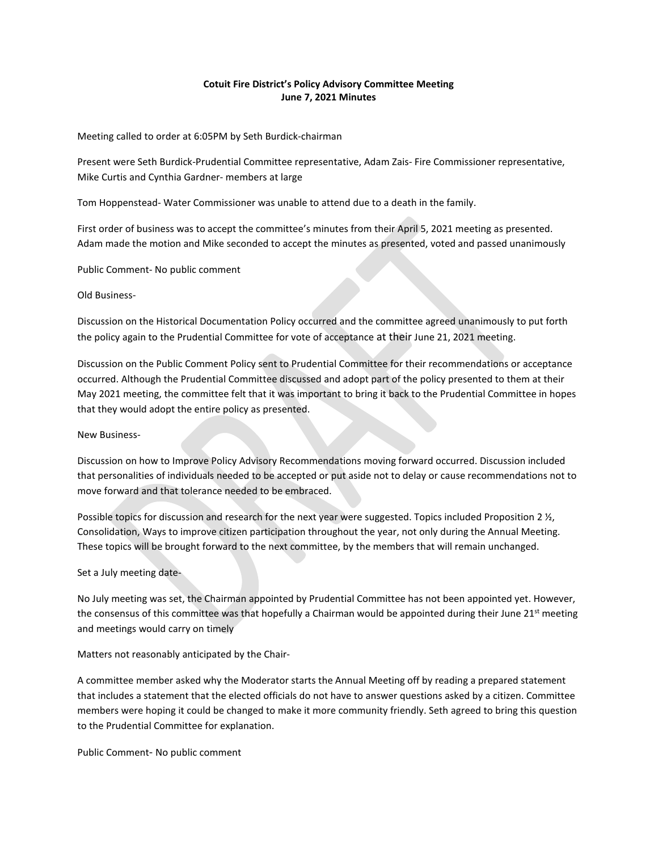## **Cotuit Fire District's Policy Advisory Committee Meeting June 7, 2021 Minutes**

Meeting called to order at 6:05PM by Seth Burdick-chairman

Present were Seth Burdick-Prudential Committee representative, Adam Zais- Fire Commissioner representative, Mike Curtis and Cynthia Gardner- members at large

Tom Hoppenstead- Water Commissioner was unable to attend due to a death in the family.

First order of business was to accept the committee's minutes from their April 5, 2021 meeting as presented. Adam made the motion and Mike seconded to accept the minutes as presented, voted and passed unanimously

Public Comment- No public comment

## Old Business-

Discussion on the Historical Documentation Policy occurred and the committee agreed unanimously to put forth the policy again to the Prudential Committee for vote of acceptance at their June 21, 2021 meeting.

Discussion on the Public Comment Policy sent to Prudential Committee for their recommendations or acceptance occurred. Although the Prudential Committee discussed and adopt part of the policy presented to them at their May 2021 meeting, the committee felt that it was important to bring it back to the Prudential Committee in hopes that they would adopt the entire policy as presented.

## New Business-

Discussion on how to Improve Policy Advisory Recommendations moving forward occurred. Discussion included that personalities of individuals needed to be accepted or put aside not to delay or cause recommendations not to move forward and that tolerance needed to be embraced.

Possible topics for discussion and research for the next year were suggested. Topics included Proposition 2  $\frac{1}{2}$ , Consolidation, Ways to improve citizen participation throughout the year, not only during the Annual Meeting. These topics will be brought forward to the next committee, by the members that will remain unchanged.

Set a July meeting date-

No July meeting was set, the Chairman appointed by Prudential Committee has not been appointed yet. However, the consensus of this committee was that hopefully a Chairman would be appointed during their June 21<sup>st</sup> meeting and meetings would carry on timely

Matters not reasonably anticipated by the Chair-

A committee member asked why the Moderator starts the Annual Meeting off by reading a prepared statement that includes a statement that the elected officials do not have to answer questions asked by a citizen. Committee members were hoping it could be changed to make it more community friendly. Seth agreed to bring this question to the Prudential Committee for explanation.

Public Comment- No public comment